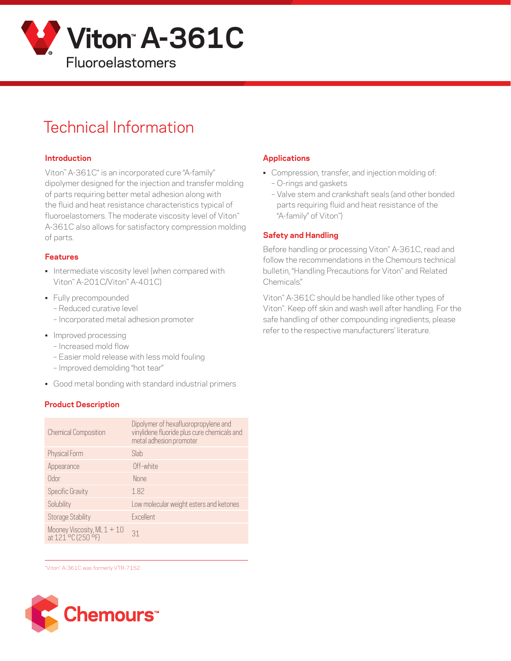

# Technical Information

#### **Introduction**

Viton™ A-361C\* is an incorporated cure "A-family" dipolymer designed for the injection and transfer molding of parts requiring better metal adhesion along with the fluid and heat resistance characteristics typical of fluoroelastomers. The moderate viscosity level of Viton™ A-361C also allows for satisfactory compression molding of parts.

## **Features**

- Intermediate viscosity level (when compared with Viton™ A-201C/Viton™ A-401C)
- Fully precompounded
	- Reduced curative level
	- Incorporated metal adhesion promoter
- Improved processing
	- Increased mold flow
	- Easier mold release with less mold fouling
	- Improved demolding "hot tear"
- Good metal bonding with standard industrial primers

# **Product Description**

| <b>Chemical Composition</b>                           | Dipolymer of hexafluoropropylene and<br>vinylidene fluoride plus cure chemicals and<br>metal adhesion promoter |
|-------------------------------------------------------|----------------------------------------------------------------------------------------------------------------|
| Physical Form                                         | Slab                                                                                                           |
| Appearance                                            | Off-white                                                                                                      |
| Odor                                                  | <b>None</b>                                                                                                    |
| <b>Specific Gravity</b>                               | 1.82                                                                                                           |
| Solubility                                            | Low molecular weight esters and ketones                                                                        |
| <b>Storage Stability</b>                              | Excellent                                                                                                      |
| Mooney Viscosity, ML $1 + 10$<br>at $121 °C (250 °F)$ | 31                                                                                                             |

#### \*Viton™ A-361C was formerly VTR-7152.



# **Applications**

- Compression, transfer, and injection molding of:
	- O-rings and gaskets
	- Valve stem and crankshaft seals (and other bonded parts requiring fluid and heat resistance of the "A-family" of Viton™)

## **Safety and Handling**

Before handling or processing Viton" A-361C, read and follow the recommendations in the Chemours technical bulletin, "Handling Precautions for Viton™ and Related Chemicals."

Viton™ A-361C should be handled like other types of Viton™. Keep off skin and wash well after handling. For the safe handling of other compounding ingredients, please refer to the respective manufacturers' literature.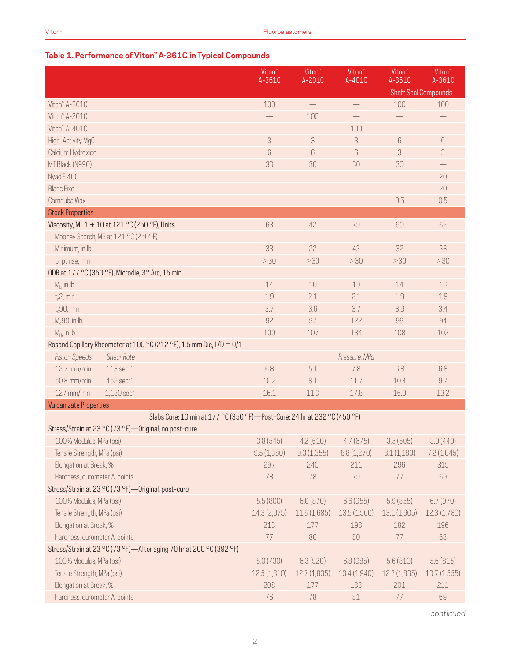# **Table 1. Performance of Viton™ A-361C in Typical Compounds**

|                                                                             | Viton <sup>"</sup><br>A-361C | Viton <sup>®</sup><br>A-201C | Viton <sup>"</sup><br>A-401C | Viton <sup>"</sup><br>A-361C | Viton <sup>"</sup><br>A-361C |
|-----------------------------------------------------------------------------|------------------------------|------------------------------|------------------------------|------------------------------|------------------------------|
|                                                                             |                              |                              |                              |                              | <b>Shaft Seal Compounds</b>  |
| Viton" A-361C                                                               | 100                          | $\overline{\phantom{m}}$     | $\overline{\phantom{0}}$     | 100                          | 100                          |
| Viton" A-201C                                                               |                              | 100                          |                              |                              |                              |
| Viton" A-401C                                                               | $\qquad \qquad -$            |                              | 100                          | $\qquad \qquad -$            |                              |
| High-Activity MgO                                                           | 3                            | $\sqrt{3}$                   | 3                            | $6\,$                        | $\boldsymbol{6}$             |
| Calcium Hydroxide                                                           | $6\,$                        | 6                            | 6                            | 3                            | 3                            |
| MT Black (N990)                                                             | 30                           | 30                           | 30                           | 30                           |                              |
| Nyad <sup>®</sup> 400                                                       |                              |                              |                              |                              | 20                           |
| <b>Blanc Fixe</b>                                                           | $\qquad \qquad -$            |                              | $\overline{\phantom{0}}$     | $\qquad \qquad -$            | 20                           |
| Carnauba Wax                                                                |                              |                              |                              | 0.5                          | 0.5                          |
| <b>Stock Properties</b>                                                     |                              |                              |                              |                              |                              |
| Viscosity, ML 1 + 10 at 121 °C (250 °F), Units                              | 63                           | 42                           | 79                           | 60                           | 62                           |
| Mooney Scorch, MS at 121 °C (250°F)                                         |                              |                              |                              |                              |                              |
| Minimum, in Ib                                                              | 33                           | 22                           | 42                           | 32                           | 33                           |
| 5-pt rise, min                                                              | >30                          | >30                          | >30                          | >30                          | >30                          |
| ODR at 177 °C (350 °F), Microdie, 3° Arc, 15 min                            |                              |                              |                              |                              |                              |
| $M1$ , in Ib                                                                | 14                           | 10                           | 19                           | 14                           | 16                           |
| $t_s$ 2, min                                                                | 1.9                          | 2.1                          | 2.1                          | 1.9                          | 1.8                          |
| $t_c$ 90, min                                                               | 3.7                          | 3.6                          | 3.7                          | 3.9                          | 3.4                          |
| $M_c$ 90, in·lb                                                             | 92                           | 97                           | 122                          | 99                           | 94                           |
| $M_H$ , in Ib                                                               | 100                          | 107                          | 134                          | 108                          | 102                          |
| Rosand Capillary Rheometer at 100 °C (212 °F), 1.5 mm Die, L/D = 0/1        |                              |                              |                              |                              |                              |
| <b>Piston Speeds</b><br><b>Shear Rate</b>                                   |                              |                              | Pressure, MPa                |                              |                              |
| 12.7 mm/min<br>$113 \text{ sec}^{-1}$                                       | 6.8                          | 5.1                          | 7.8                          | 6.8                          | 6.8                          |
| $452$ sec $^{-1}$<br>50.8 mm/min                                            | 10.2                         | 8.1                          | 11.7                         | 10.4                         | 9.7                          |
| 127 mm/min<br>$1,130$ sec $^{-1}$                                           | 16.1                         | 11.3                         | 17.8                         | 16.0                         | 13.2                         |
| <b>Vulcanizate Properties</b>                                               |                              |                              |                              |                              |                              |
| Slabs Cure: 10 min at 177 °C (350 °F) - Post-Cure: 24 hr at 232 °C (450 °F) |                              |                              |                              |                              |                              |
| Stress/Strain at 23 °C (73 °F)-Original, no post-cure                       |                              |                              |                              |                              |                              |
| 100% Modulus, MPa (psi)                                                     | 3.8(545)                     | 4.2(610)                     | 4.7(675)                     | 3.5(505)                     | 3.0(440)                     |
| Tensile Strength, MPa (psi)                                                 | 9.5(1,380)                   | 9.3(1,355)                   | 8.8(1,270)                   | 8.1(1,180)                   | 7.2(1,045)                   |
| Elongation at Break, %                                                      | 297                          | 240                          | 211                          | 296                          | 319                          |
| Hardness, durometer A, points                                               | 78                           | 78                           | 79                           | 77                           | 69                           |
| Stress/Strain at 23 °C (73 °F)-Original, post-cure                          |                              |                              |                              |                              |                              |
| 100% Modulus, MPa (psi)                                                     | 5.5(800)                     | 6.0(870)                     | 6.6(955)                     | 5.9(855)                     | 6.7(970)                     |
| Tensile Strength, MPa (psi)                                                 | 14.3 (2,075)                 | 11.6 (1,685)                 | 13.5 (1,960)                 | 13.1 (1,905)                 | 12.3 (1,780)                 |
| Elongation at Break, %                                                      | 213                          | 177                          | 198                          | 182                          | 196                          |
| Hardness, durometer A, points                                               | 77                           | 80                           | 80                           | 77                           | 68                           |
| Stress/Strain at 23 °C (73 °F)-After aging 70 hr at 200 °C (392 °F)         |                              |                              |                              |                              |                              |
| 100% Modulus, MPa (psi)                                                     | 5.0(730)                     | 6.3(920)                     | 6.8(985)                     | 5.6(810)                     | 5.6(815)                     |
| Tensile Strength, MPa (psi)                                                 | 12.5(1,810)                  | 12.7(1,835)                  | 13.4 (1,940)                 | 12.7(1,835)                  | 10.7(1,555)                  |
| Elongation at Break, %                                                      | 208                          | 177                          | 183                          | 201                          | 211                          |
| Hardness, durometer A, points                                               | 76                           | 78                           | 81                           | 77                           | 69                           |

*continued*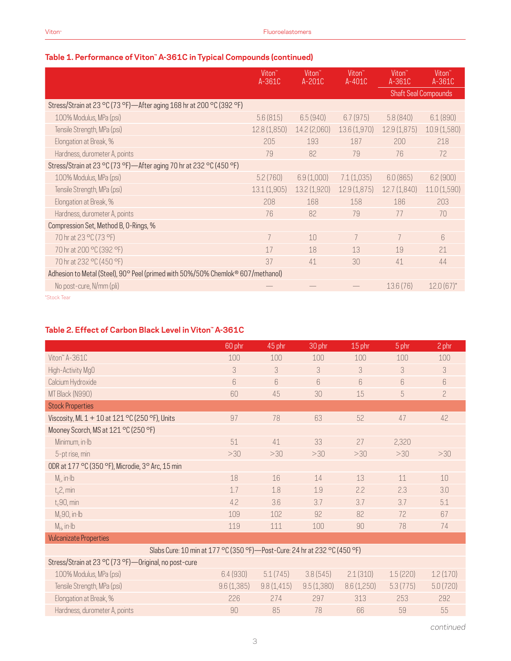|                                                                                 | Viton <sup>"</sup><br>$A-361C$ | Viton <sup>"</sup><br>$A-201C$ | Viton <sup>"</sup><br>$A-401C$ | Viton <sup>"</sup><br>A-361C | Viton <sup>"</sup><br>A-361C |
|---------------------------------------------------------------------------------|--------------------------------|--------------------------------|--------------------------------|------------------------------|------------------------------|
|                                                                                 |                                |                                |                                |                              | <b>Shaft Seal Compounds</b>  |
| Stress/Strain at 23 °C (73 °F)—After aging 168 hr at 200 °C (392 °F)            |                                |                                |                                |                              |                              |
| 100% Modulus, MPa (psi)                                                         | 5.6(815)                       | 6.5(940)                       | 6.7(975)                       | 5.8(840)                     | 6.1(890)                     |
| Tensile Strength, MPa (psi)                                                     | 12.8(1,850)                    | 14.2 (2,060)                   | 13.6(1,970)                    | 12.9(1,875)                  | 10.9 (1,580)                 |
| Elongation at Break, %                                                          | 205                            | 193                            | 187                            | 200                          | 218                          |
| Hardness, durometer A, points                                                   | 79                             | 82                             | 79                             | 76                           | 72                           |
| Stress/Strain at 23 °C (73 °F)-After aging 70 hr at 232 °C (450 °F)             |                                |                                |                                |                              |                              |
| 100% Modulus, MPa (psi)                                                         | 5.2(760)                       | 6.9(1,000)                     | 7.1(1,035)                     | 6.0(865)                     | 6.2(900)                     |
| Tensile Strength, MPa (psi)                                                     | 13.1(1,905)                    | 13.2(1,920)                    | 12.9(1,875)                    | 12.7(1,840)                  | 11.0 (1,590)                 |
| Elongation at Break, %                                                          | 208                            | 168                            | 158                            | 186                          | 203                          |
| Hardness, durometer A, points                                                   | 76                             | 82                             | 79                             | 77                           | 70                           |
| Compression Set, Method B, O-Rings, %                                           |                                |                                |                                |                              |                              |
| 70 hr at 23 °C (73 °F)                                                          | 7                              | 10                             | 7                              |                              | $6\overline{6}$              |
| 70 hr at 200 °C (392 °F)                                                        | 17                             | 18                             | 13                             | 19                           | 21                           |
| 70 hr at 232 °C (450 °F)                                                        | 37                             | 41                             | 30                             | 41                           | 44                           |
| Adhesion to Metal (Steel), 90° Peel (primed with 50%/50% Chemlok® 607/methanol) |                                |                                |                                |                              |                              |
| No post-cure, N/mm (pli)                                                        |                                |                                |                                | 13.6(76)                     | $12.0(67)$ *                 |

# **Table 1. Performance of Viton™ A-361C in Typical Compounds (continued)**

\*Stock Tear

## **Table 2. Effect of Carbon Black Level in Viton™ A-361C**

| 60 phr | 45 phr | 30 phr | 15 phr | 5 phr                                                                       | 2 phr          |
|--------|--------|--------|--------|-----------------------------------------------------------------------------|----------------|
| 100    | 100    | 100    | 100    | 100                                                                         | 100            |
| 3      | 3      | 3      | 3      | 3                                                                           | 3              |
| 6      | 6      | 6      | 6      | 6                                                                           | 6              |
| 60     | 45     | 30     | 15     | 5                                                                           | $\overline{c}$ |
|        |        |        |        |                                                                             |                |
| 97     | 78     | 63     | 52     | 47                                                                          | 42             |
|        |        |        |        |                                                                             |                |
| 51     | 41     | 33     | 27     | 2,320                                                                       |                |
| >30    | >30    | >30    | >30    | >30                                                                         | >30            |
|        |        |        |        |                                                                             |                |
| 18     | 16     | 14     | 13     | 11                                                                          | 10             |
| 1.7    | 1.8    | 1.9    | 2.2    | 2.3                                                                         | 3.0            |
| 4.2    | 3.6    | 3.7    | 3.7    | 3.7                                                                         | 5.1            |
| 109    | 102    | 92     | 82     | 72                                                                          | 67             |
| 119    | 111    | 100    | 90     | 78                                                                          | 74             |
|        |        |        |        |                                                                             |                |
|        |        |        |        |                                                                             |                |
|        |        |        |        |                                                                             |                |
|        |        |        |        | Slabs Cure: 10 min at 177 °C (350 °F) — Post-Cure: 24 hr at 232 °C (450 °F) |                |

| 100% Modulus, MPa (psi)       | 6.4(930)   | 5.1(745)   | 3.8(545)   | 2.1(310)   | 1.5(220) | 1.2(170) |
|-------------------------------|------------|------------|------------|------------|----------|----------|
| Tensile Strength, MPa (psi)   | 9.6(1.385) | 9.8(1.415) | 9.5(1,380) | 8.6(1,250) | 5.3(775) | 5.0(720) |
| Elongation at Break, %        | 226        |            | 297        | 313        | 253      | 292      |
| Hardness, durometer A, points | 90         | 85         |            | 66         | 59       | 55       |

*continued*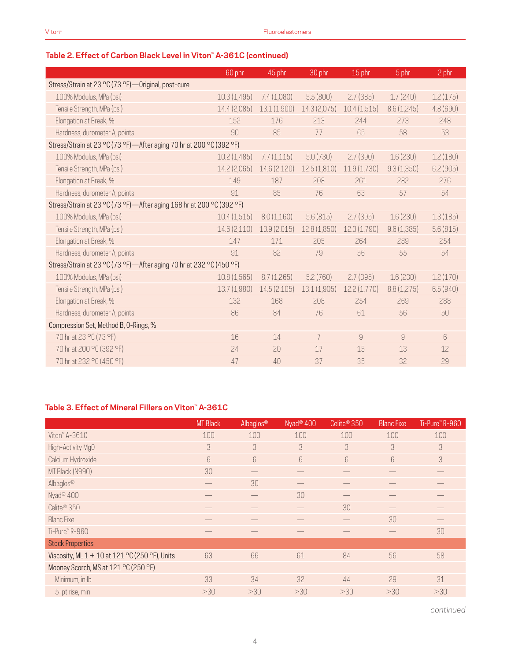|                                                                      | 60 phr       | 45 phr       | 30 phr         | 15 phr         | 5 phr      | 2 phr     |
|----------------------------------------------------------------------|--------------|--------------|----------------|----------------|------------|-----------|
| Stress/Strain at 23 °C (73 °F)-Original, post-cure                   |              |              |                |                |            |           |
| 100% Modulus, MPa (psi)                                              | 10.3 (1,495) | 7.4 (1,080)  | 5.5(800)       | 2.7(385)       | 1.7(240)   | 1.2(175)  |
| Tensile Strength, MPa (psi)                                          | 14.4 (2,085) | 13.1(1,900)  | 14.3 (2,075)   | 10.4(1,515)    | 8.6(1,245) | 4.8 (690) |
| Elongation at Break, %                                               | 152          | 176          | 213            | 244            | 273        | 248       |
| Hardness, durometer A, points                                        | 90           | 85           | 77             | 65             | 58         | 53        |
| Stress/Strain at 23 °C (73 °F)-After aging 70 hr at 200 °C (392 °F)  |              |              |                |                |            |           |
| 100% Modulus, MPa (psi)                                              | 10.2(1,485)  | 7.7(1,115)   | 5.0(730)       | 2.7(390)       | 1.6(230)   | 1.2(180)  |
| Tensile Strength, MPa (psi)                                          | 14.2 (2,065) | 14.6 (2,120) | 12.5(1,810)    | 11.9(1,730)    | 9.3(1,350) | 6.2(905)  |
| Elongation at Break, %                                               | 149          | 187          | 208            | 261            | 282        | 276       |
| Hardness, durometer A, points                                        | 91           | 85           | 76             | 63             | 57         | 54        |
| Stress/Strain at 23 °C (73 °F)-After aging 168 hr at 200 °C (392 °F) |              |              |                |                |            |           |
| 100% Modulus, MPa (psi)                                              | 10.4(1,515)  | 8.0(1,160)   | 5.6(815)       | 2.7(395)       | 1.6(230)   | 1.3(185)  |
| Tensile Strength, MPa (psi)                                          | 14.6 (2,110) | 13.9(2,015)  | 12.8 (1,850)   | 12.3(1,790)    | 9.6(1,385) | 5.6(815)  |
| Elongation at Break, %                                               | 147          | 171          | 205            | 264            | 289        | 254       |
| Hardness, durometer A, points                                        | 91           | 82           | 79             | 56             | 55         | 54        |
| Stress/Strain at 23 °C (73 °F)-After aging 70 hr at 232 °C (450 °F)  |              |              |                |                |            |           |
| 100% Modulus, MPa (psi)                                              | 10.8 (1,565) | 8.7(1,265)   | 5.2(760)       | 2.7(395)       | 1.6(230)   | 1.2(170)  |
| Tensile Strength, MPa (psi)                                          | 13.7 (1,980) | 14.5(2,105)  | 13.1 (1,905)   | 12.2(1,770)    | 8.8(1,275) | 6.5(940)  |
| Elongation at Break, %                                               | 132          | 168          | 208            | 254            | 269        | 288       |
| Hardness, durometer A, points                                        | 86           | 84           | 76             | 61             | 56         | 50        |
| Compression Set, Method B, O-Rings, %                                |              |              |                |                |            |           |
| 70 hr at 23 °C (73 °F)                                               | 16           | 14           | $\overline{7}$ | $\overline{9}$ | 9          | 6         |
| 70 hr at 200 °C (392 °F)                                             | 24           | 20           | 17             | 15             | 13         | 12        |
| 70 hr at 232 °C (450 °F)                                             | 47           | 40           | 37             | 35             | 32         | 29        |

# **Table 3. Effect of Mineral Fillers on Viton™ A-361C**

|                                                    | <b>MT Black</b>  | Albaglos® | Nyad <sup>®</sup> 400 | Celite <sup>®</sup> 350 | <b>Blanc Fixe</b> | Ti-Pure" R-960 |
|----------------------------------------------------|------------------|-----------|-----------------------|-------------------------|-------------------|----------------|
| Viton" A-361C                                      | 100              | 100       | 100                   | 100                     | 100               | 100            |
| High-Activity MgO                                  | 3                | 3         | 3                     | 3                       | 3                 | 3              |
| Calcium Hydroxide                                  | $6 \overline{6}$ | 6         | 6                     | $6\overline{6}$         | $6\overline{6}$   | 3              |
| MT Black (N990)                                    | 30               |           |                       |                         |                   |                |
| Albaglos®                                          |                  | 30        |                       |                         |                   |                |
| Nyad <sup>®</sup> 400                              |                  |           | 30                    |                         |                   |                |
| Celite <sup>®</sup> 350                            |                  |           |                       | 30                      |                   |                |
| <b>Blanc</b> Fixe                                  |                  |           |                       |                         | 30                |                |
| Ti-Pure™R-960                                      |                  |           |                       |                         |                   | 30             |
| <b>Stock Properties</b>                            |                  |           |                       |                         |                   |                |
| Viscosity, ML $1 + 10$ at $121$ °C (250 °F), Units | 63               | 66        | 61                    | 84                      | 56                | 58             |
| Mooney Scorch, MS at 121 °C (250 °F)               |                  |           |                       |                         |                   |                |
| Minimum, in Ib                                     | 33               | 34        | 32                    | 44                      | 29                | 31             |
| 5-pt rise, min                                     | >30              | >30       | >30                   | >30                     | >30               | >30            |

*continued*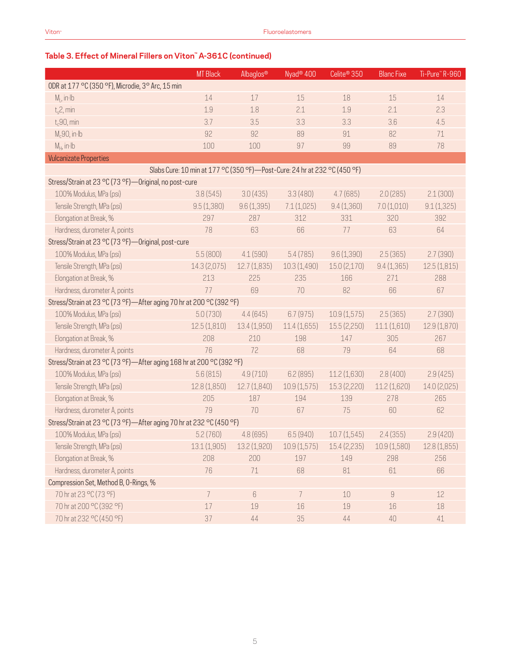|                                                                      | <b>MT Black</b> | Albaglos®                                                                   | Nyad <sup>®</sup> 400 | Celite <sup>®</sup> 350 | <b>Blanc Fixe</b> | Ti-Pure™R-960 |
|----------------------------------------------------------------------|-----------------|-----------------------------------------------------------------------------|-----------------------|-------------------------|-------------------|---------------|
| ODR at 177 °C (350 °F), Microdie, 3° Arc, 15 min                     |                 |                                                                             |                       |                         |                   |               |
| $M1$ , in Ib                                                         | 14              | 17                                                                          | 15                    | 18                      | 15                | 14            |
| $t_s$ 2, min                                                         | 1.9             | 1.8                                                                         | 2.1                   | 1.9                     | 2.1               | 2.3           |
| $t_c$ 90, min                                                        | 3.7             | 3.5                                                                         | 3.3                   | 3.3                     | 3.6               | 4.5           |
| $M_c90$ , in Ib                                                      | 92              | 92                                                                          | 89                    | 91                      | 82                | 71            |
| $M_H$ , in Ib                                                        | 100             | 100                                                                         | 97                    | 99                      | 89                | 78            |
| <b>Vulcanizate Properties</b>                                        |                 |                                                                             |                       |                         |                   |               |
|                                                                      |                 | Slabs Cure: 10 min at 177 °C (350 °F) - Post-Cure: 24 hr at 232 °C (450 °F) |                       |                         |                   |               |
| Stress/Strain at 23 °C (73 °F)-Original, no post-cure                |                 |                                                                             |                       |                         |                   |               |
| 100% Modulus, MPa (psi)                                              | 3.8(545)        | 3.0(435)                                                                    | 3.3(480)              | 4.7(685)                | 2.0(285)          | 2.1(300)      |
| Tensile Strength, MPa (psi)                                          | 9.5(1,380)      | 9.6(1,395)                                                                  | 7.1(1,025)            | 9.4(1,360)              | 7.0(1,010)        | 9.1(1,325)    |
| Elongation at Break, %                                               | 297             | 287                                                                         | 312                   | 331                     | 320               | 392           |
| Hardness, durometer A, points                                        | 78              | 63                                                                          | 66                    | 77                      | 63                | 64            |
| Stress/Strain at 23 °C (73 °F) - Original, post-cure                 |                 |                                                                             |                       |                         |                   |               |
| 100% Modulus, MPa (psi)                                              | 5.5(800)        | 4.1(590)                                                                    | 5.4(785)              | 9.6(1,390)              | 2.5(365)          | 2.7(390)      |
| Tensile Strength, MPa (psi)                                          | 14.3(2,075)     | 12.7(1,835)                                                                 | 10.3(1,490)           | 15.0(2,170)             | 9.4(1,365)        | 12.5(1,815)   |
| Elongation at Break, %                                               | 213             | 225                                                                         | 235                   | 166                     | 271               | 288           |
| Hardness, durometer A, points                                        | 77              | 69                                                                          | 70                    | 82                      | 66                | 67            |
| Stress/Strain at 23 °C (73 °F)-After aging 70 hr at 200 °C (392 °F)  |                 |                                                                             |                       |                         |                   |               |
| 100% Modulus, MPa (psi)                                              | 5.0(730)        | 4.4(645)                                                                    | 6.7(975)              | 10.9(1,575)             | 2.5(365)          | 2.7(390)      |
| Tensile Strength, MPa (psi)                                          | 12.5(1,810)     | 13.4(1,950)                                                                 | 11.4(1,655)           | 15.5 (2,250)            | 11.1(1,610)       | 12.9 (1,870)  |
| Elongation at Break, %                                               | 208             | 210                                                                         | 198                   | 147                     | 305               | 267           |
| Hardness, durometer A, points                                        | 76              | 72                                                                          | 68                    | 79                      | 64                | 68            |
| Stress/Strain at 23 °C (73 °F)-After aging 168 hr at 200 °C (392 °F) |                 |                                                                             |                       |                         |                   |               |
| 100% Modulus, MPa (psi)                                              | 5.6(815)        | 4.9(710)                                                                    | 6.2(895)              | 11.2(1,630)             | 2.8(400)          | 2.9(425)      |
| Tensile Strength, MPa (psi)                                          | 12.8(1,850)     | 12.7(1,840)                                                                 | 10.9(1,575)           | 15.3 (2,220)            | 11.2(1,620)       | 14.0 (2,025)  |
| Elongation at Break, %                                               | 205             | 187                                                                         | 194                   | 139                     | 278               | 265           |
| Hardness, durometer A, points                                        | 79              | 70                                                                          | 67                    | 75                      | 60                | 62            |
| Stress/Strain at 23 °C (73 °F)—After aging 70 hr at 232 °C (450 °F)  |                 |                                                                             |                       |                         |                   |               |
| 100% Modulus, MPa (psi)                                              | 5.2(760)        | 4.8(695)                                                                    | 6.5(940)              | 10.7(1,545)             | 2.4(355)          | 2.9(420)      |
| Tensile Strength, MPa (psi)                                          | 13.1(1,905)     | 13.2 (1,920)                                                                | 10.9(1,575)           | 15.4 (2,235)            | 10.9(1,580)       | 12.8(1,855)   |
| Elongation at Break, %                                               | 208             | 200                                                                         | 197                   | 149                     | 298               | 256           |
| Hardness, durometer A, points                                        | 76              | 71                                                                          | 68                    | 81                      | 61                | 66            |
| Compression Set, Method B, O-Rings, %                                |                 |                                                                             |                       |                         |                   |               |
| 70 hr at 23 °C (73 °F)                                               | 7               | $6\,$                                                                       | 7                     | 10                      | 9                 | 12            |
| 70 hr at 200 °C (392 °F)                                             | 17              | 19                                                                          | 16                    | 19                      | 16                | 18            |
| 70 hr at 232 °C (450 °F)                                             | 37              | 44                                                                          | 35                    | 44                      | 40                | 41            |

# **Table 3. Effect of Mineral Fillers on Viton™ A-361C (continued)**